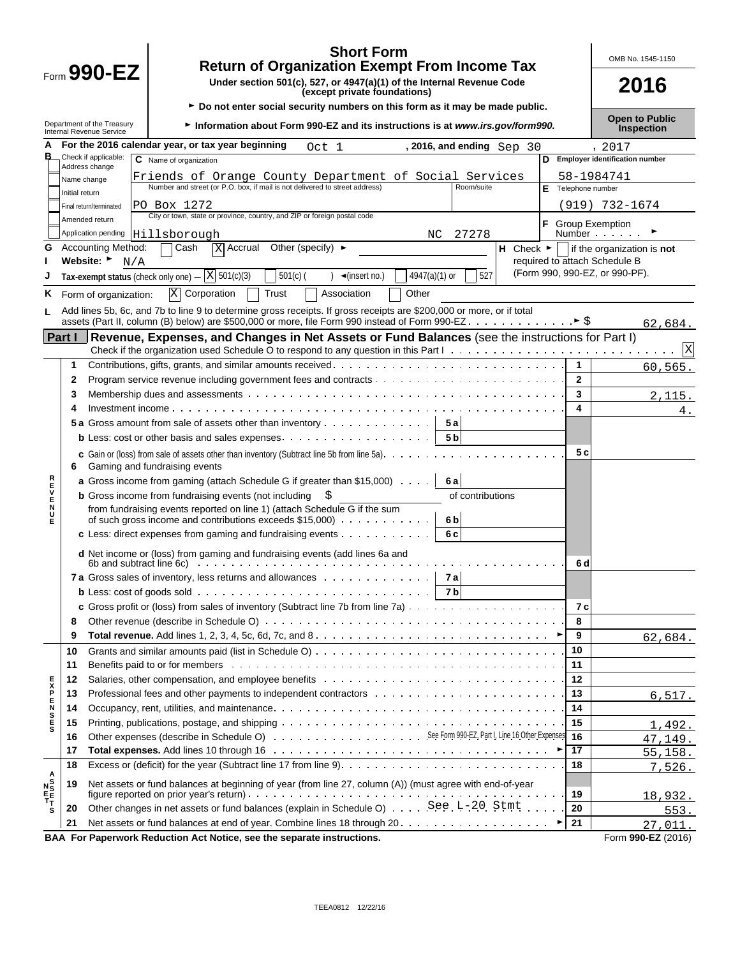|                                                            |                |                                                              | <b>Short Form</b><br><b>Return of Organization Exempt From Income Tax</b>                                                                                                                                                      |                |                           |                               |                    | OMB No. 1545-1150                          |
|------------------------------------------------------------|----------------|--------------------------------------------------------------|--------------------------------------------------------------------------------------------------------------------------------------------------------------------------------------------------------------------------------|----------------|---------------------------|-------------------------------|--------------------|--------------------------------------------|
|                                                            |                | $F_{\text{form}}$ 990-EZ                                     | Under section 501(c), 527, or 4947(a)(1) of the Internal Revenue Code<br>(except private foundations)                                                                                                                          |                |                           |                               |                    | 2016                                       |
|                                                            |                | Department of the Treasury<br>Internal Revenue Service       | ► Do not enter social security numbers on this form as it may be made public.<br>Information about Form 990-EZ and its instructions is at www.irs.gov/form990.                                                                 |                |                           |                               |                    | <b>Open to Public</b><br><b>Inspection</b> |
|                                                            |                | For the 2016 calendar year, or tax year beginning            |                                                                                                                                                                                                                                |                |                           |                               |                    |                                            |
|                                                            |                | Check if applicable:<br>C Name of organization               | Oct 1                                                                                                                                                                                                                          |                | , 2016, and ending Sep 30 |                               |                    | , 2017<br>D Employer identification number |
|                                                            |                | Address change                                               |                                                                                                                                                                                                                                |                |                           |                               |                    | 58-1984741                                 |
|                                                            | Name change    |                                                              | Friends of Orange County Department of Social Services<br>Number and street (or P.O. box, if mail is not delivered to street address)                                                                                          |                | Room/suite                |                               | E Telephone number |                                            |
|                                                            | Initial return | PO Box 1272                                                  |                                                                                                                                                                                                                                |                |                           |                               |                    | (919) 732-1674                             |
|                                                            |                | Final return/terminated<br>Amended return                    | City or town, state or province, country, and ZIP or foreign postal code                                                                                                                                                       |                |                           |                               |                    |                                            |
|                                                            |                | Application pending Hillsborough                             |                                                                                                                                                                                                                                | NC.            | 27278                     |                               | F Group Exemption  | Number                                     |
| G                                                          |                | <b>Accounting Method:</b><br>Cash                            | $X$ Accrual<br>Other (specify) $\blacktriangleright$                                                                                                                                                                           |                |                           | H Check $\blacktriangleright$ |                    | if the organization is not                 |
|                                                            |                | Website: $\blacktriangleright$<br>N/A                        |                                                                                                                                                                                                                                |                |                           |                               |                    | required to attach Schedule B              |
|                                                            |                | Tax-exempt status (check only one) -                         | $\overline{X}$ 501(c)(3)<br>$501(c)$ (<br>$\triangleleft$ (insert no.)                                                                                                                                                         | 4947(a)(1) or  | 527                       |                               |                    | (Form 990, 990-EZ, or 990-PF).             |
| ĸ.                                                         |                | X Corporation<br>Form of organization:                       | Trust<br>Association                                                                                                                                                                                                           | Other          |                           |                               |                    |                                            |
|                                                            |                |                                                              | Add lines 5b, 6c, and 7b to line 9 to determine gross receipts. If gross receipts are \$200,000 or more, or if total                                                                                                           |                |                           |                               |                    |                                            |
| L                                                          |                |                                                              |                                                                                                                                                                                                                                |                |                           |                               |                    | 62,684.                                    |
|                                                            | Part I         |                                                              | Revenue, Expenses, and Changes in Net Assets or Fund Balances (see the instructions for Part I)                                                                                                                                |                |                           |                               |                    |                                            |
|                                                            |                |                                                              |                                                                                                                                                                                                                                |                |                           |                               |                    |                                            |
|                                                            | 1.             |                                                              |                                                                                                                                                                                                                                |                |                           |                               | $\mathbf{1}$       | 60,565.                                    |
|                                                            | $\mathbf{2}$   |                                                              |                                                                                                                                                                                                                                |                |                           |                               | $\mathbf{2}$       |                                            |
|                                                            | 3              |                                                              |                                                                                                                                                                                                                                |                |                           |                               | 3                  | 2.115.                                     |
|                                                            | 4              |                                                              |                                                                                                                                                                                                                                |                |                           |                               | 4                  | 4.                                         |
|                                                            |                |                                                              | 5a Gross amount from sale of assets other than inventory                                                                                                                                                                       | 5 a            |                           |                               |                    |                                            |
|                                                            |                |                                                              | <b>b</b> Less: cost or other basis and sales expenses $\ldots$ , $\ldots$ , $\ldots$ , $\ldots$ , $\ldots$                                                                                                                     | 5 <sub>b</sub> |                           |                               |                    |                                            |
|                                                            | 6              | Gaming and fundraising events                                | <b>c</b> Gain or (loss) from sale of assets other than inventory (Subtract line 5b from line 5a). $\ldots$ , $\ldots$ , $\ldots$                                                                                               |                |                           |                               | 5 c                |                                            |
| スロンドロス                                                     |                |                                                              | <b>a</b> Gross income from gaming (attach Schedule G if greater than \$15,000)                                                                                                                                                 | 6 a            |                           |                               |                    |                                            |
|                                                            |                | <b>b</b> Gross income from fundraising events (not including |                                                                                                                                                                                                                                |                | of contributions          |                               |                    |                                            |
|                                                            |                |                                                              | from fundraising events reported on line 1) (attach Schedule G if the sum                                                                                                                                                      | 6 <sub>b</sub> |                           |                               |                    |                                            |
|                                                            |                |                                                              | c Less: direct expenses from gaming and fundraising events $\cdots$                                                                                                                                                            | 6 c            |                           |                               |                    |                                            |
|                                                            |                |                                                              |                                                                                                                                                                                                                                |                |                           |                               |                    |                                            |
|                                                            |                |                                                              | d Net income or (loss) from gaming and fundraising events (add lines 6a and<br>6b and subtract line 6c) $\cdots$ $\cdots$ $\cdots$ $\cdots$ $\cdots$ $\cdots$ $\cdots$ $\cdots$ $\cdots$                                       |                |                           |                               | 6 d                |                                            |
|                                                            |                |                                                              | 7a Gross sales of inventory, less returns and allowances   7a                                                                                                                                                                  |                |                           |                               |                    |                                            |
|                                                            |                |                                                              |                                                                                                                                                                                                                                | - 7 b          |                           |                               |                    |                                            |
|                                                            |                |                                                              |                                                                                                                                                                                                                                |                |                           |                               | 7 c                |                                            |
|                                                            | 8              |                                                              |                                                                                                                                                                                                                                |                |                           |                               | 8                  |                                            |
|                                                            | 9              |                                                              |                                                                                                                                                                                                                                |                |                           |                               | 9                  | 62,684.                                    |
|                                                            | 10             |                                                              |                                                                                                                                                                                                                                |                |                           |                               | 10                 |                                            |
|                                                            | 11             |                                                              | Benefits paid to or for members enters and the context of the context of the context of the context of the context of the context of the context of the context of the context of the context of the context of the context of |                |                           |                               | 11                 |                                            |
|                                                            | 12             |                                                              |                                                                                                                                                                                                                                |                |                           |                               | 12                 |                                            |
|                                                            | 13             |                                                              | Professional fees and other payments to independent contractors with the state of the state of the state of the P                                                                                                              |                |                           |                               | 13                 | 6,517.                                     |
| <b>SHASH</b>                                               | 14             |                                                              |                                                                                                                                                                                                                                |                |                           |                               | 14                 |                                            |
|                                                            | 15             |                                                              |                                                                                                                                                                                                                                |                |                           |                               | 15                 | 1,492.                                     |
|                                                            | 16             |                                                              |                                                                                                                                                                                                                                |                |                           |                               | 16                 | 47,149.                                    |
|                                                            | 17             |                                                              |                                                                                                                                                                                                                                |                |                           |                               | 17                 | 55, 158.                                   |
|                                                            | 18             |                                                              |                                                                                                                                                                                                                                |                |                           |                               | 18                 | 7,526.                                     |
| $\begin{array}{c}\nA \\ N \\ N \\ E\nF\nT\nT\n\end{array}$ | 19             |                                                              | Net assets or fund balances at beginning of year (from line 27, column (A)) (must agree with end-of-year                                                                                                                       |                |                           |                               |                    |                                            |
|                                                            |                |                                                              | Other changes in net assets or fund balances (explain in Schedule O) See . L-20. Stmt.                                                                                                                                         |                |                           |                               | 19<br>20           | 18,932.                                    |
| s                                                          | 20<br>21       |                                                              |                                                                                                                                                                                                                                |                |                           |                               | 21                 | 553.                                       |
|                                                            |                |                                                              | BAA For Paperwork Reduction Act Notice, see the separate instructions.                                                                                                                                                         |                |                           |                               |                    | 27,011.<br>Form 990-EZ (2016)              |
|                                                            |                |                                                              |                                                                                                                                                                                                                                |                |                           |                               |                    |                                            |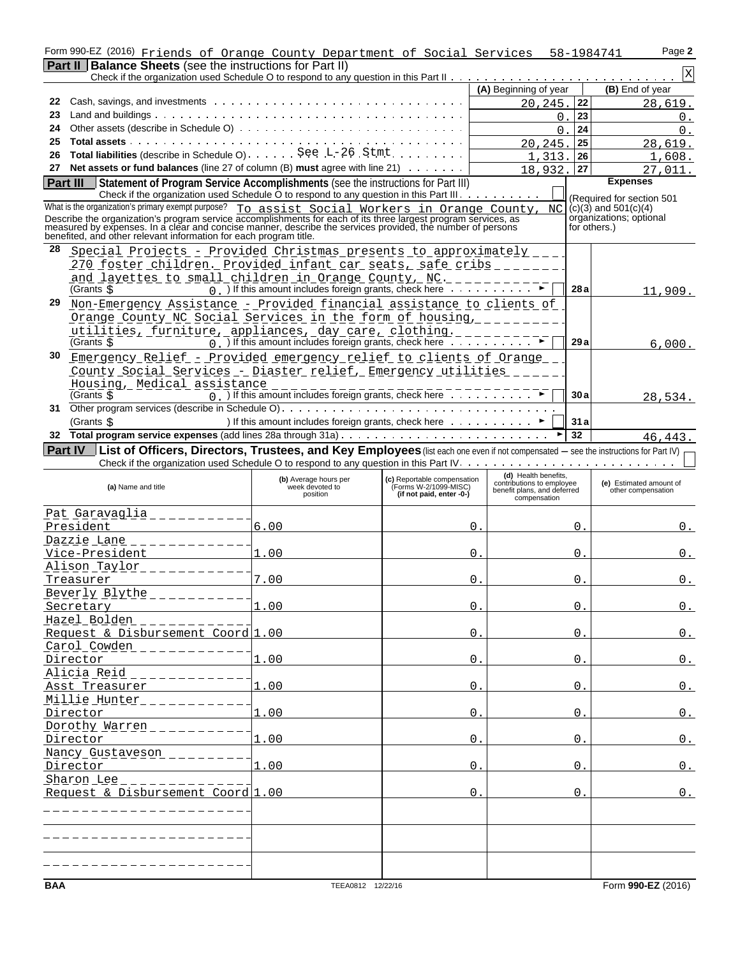|    | Form 990-EZ (2016) Friends of Orange County Department of Social Services 58-1984741                                                                                                                                                                                                              |                                                                                    |                                                                                  |                                                                                                  |                 | Page 2                                              |
|----|---------------------------------------------------------------------------------------------------------------------------------------------------------------------------------------------------------------------------------------------------------------------------------------------------|------------------------------------------------------------------------------------|----------------------------------------------------------------------------------|--------------------------------------------------------------------------------------------------|-----------------|-----------------------------------------------------|
|    | <b>Part II Balance Sheets</b> (see the instructions for Part II)                                                                                                                                                                                                                                  |                                                                                    |                                                                                  |                                                                                                  |                 |                                                     |
|    |                                                                                                                                                                                                                                                                                                   |                                                                                    |                                                                                  |                                                                                                  |                 | $\mathbf X$                                         |
|    |                                                                                                                                                                                                                                                                                                   |                                                                                    |                                                                                  | (A) Beginning of year                                                                            |                 | (B) End of year                                     |
| 22 |                                                                                                                                                                                                                                                                                                   |                                                                                    |                                                                                  | 20,245.                                                                                          | 22              | 28,619.                                             |
| 23 |                                                                                                                                                                                                                                                                                                   |                                                                                    |                                                                                  |                                                                                                  | 23<br>0.        | 0.                                                  |
| 24 |                                                                                                                                                                                                                                                                                                   |                                                                                    |                                                                                  |                                                                                                  | 24<br>$\Omega$  | 0.                                                  |
| 25 |                                                                                                                                                                                                                                                                                                   |                                                                                    |                                                                                  | 20, 245.                                                                                         | 25              | 28,619.                                             |
| 26 |                                                                                                                                                                                                                                                                                                   |                                                                                    |                                                                                  | 1                                                                                                | 26<br>313       | 1,608.                                              |
| 27 | Net assets or fund balances (line 27 of column $(B)$ must agree with line 21) $\ldots \ldots$                                                                                                                                                                                                     |                                                                                    |                                                                                  | 18,932.                                                                                          | 27              | 27.011.                                             |
|    | Part III<br>Statement of Program Service Accomplishments (see the instructions for Part III)                                                                                                                                                                                                      |                                                                                    |                                                                                  |                                                                                                  |                 | <b>Expenses</b>                                     |
|    | Check if the organization used Schedule O to respond to any question in this Part III.<br>What is the organization's primary exempt purpose? To assist Social Workers in Orange County,                                                                                                           |                                                                                    |                                                                                  |                                                                                                  |                 | (Required for section 501                           |
|    |                                                                                                                                                                                                                                                                                                   |                                                                                    |                                                                                  |                                                                                                  | NC <sub>1</sub> | $(c)(3)$ and $501(c)(4)$<br>organizations, optional |
|    | Describe the organization's program service accomplishments for each of its three largest program services, as<br>measured by expenses. In a clear and concise manner, describe the services provided, the number of persons<br>benefited, and other relevant information for each program title. |                                                                                    |                                                                                  |                                                                                                  |                 | for others.)                                        |
| 28 | Special Projects - Provided Christmas presents to approximately ___                                                                                                                                                                                                                               |                                                                                    |                                                                                  |                                                                                                  |                 |                                                     |
|    | 270 foster children. Provided infant car seats, safe cribs                                                                                                                                                                                                                                        |                                                                                    |                                                                                  |                                                                                                  |                 |                                                     |
|    | and layettes to small children in Orange County, NC. ________                                                                                                                                                                                                                                     |                                                                                    |                                                                                  |                                                                                                  |                 |                                                     |
|    | (Grants s                                                                                                                                                                                                                                                                                         | $\overline{0}$ ) If this amount includes foreign grants, check here $\overline{0}$ |                                                                                  |                                                                                                  | 28a             | 11,909.                                             |
| 29 | Non-Emergency Assistance - Provided financial assistance to clients of                                                                                                                                                                                                                            |                                                                                    |                                                                                  |                                                                                                  |                 |                                                     |
|    | Orange County NC Social Services in the form of housing, ________                                                                                                                                                                                                                                 |                                                                                    |                                                                                  |                                                                                                  |                 |                                                     |
|    | utilities, furniture, appliances, day care, clothing.<br>(Grants S                                                                                                                                                                                                                                | 0. If this amount includes foreign grants, check here $\ldots$                     |                                                                                  |                                                                                                  | 29a             |                                                     |
|    |                                                                                                                                                                                                                                                                                                   |                                                                                    |                                                                                  |                                                                                                  |                 | 6,000.                                              |
| 30 | Emergency Relief - Provided emergency relief to clients of Orange                                                                                                                                                                                                                                 |                                                                                    |                                                                                  |                                                                                                  |                 |                                                     |
|    | County Social Services - Diaster relief, Emergency utilities ___                                                                                                                                                                                                                                  |                                                                                    |                                                                                  |                                                                                                  |                 |                                                     |
|    | Housing, Medical assistance<br>(Grants \$                                                                                                                                                                                                                                                         |                                                                                    |                                                                                  |                                                                                                  | 30a             |                                                     |
|    |                                                                                                                                                                                                                                                                                                   |                                                                                    |                                                                                  |                                                                                                  |                 | 28,534.                                             |
|    | (Grants \$                                                                                                                                                                                                                                                                                        | ) If this amount includes foreign grants, check here ▶                             |                                                                                  |                                                                                                  | 31a             |                                                     |
| 32 |                                                                                                                                                                                                                                                                                                   |                                                                                    |                                                                                  |                                                                                                  | 32              | 46,443                                              |
|    | List of Officers, Directors, Trustees, and Key Employees (list each one even if not compensated - see the instructions for Part IV)<br>Part IV                                                                                                                                                    |                                                                                    |                                                                                  |                                                                                                  |                 |                                                     |
|    |                                                                                                                                                                                                                                                                                                   |                                                                                    |                                                                                  |                                                                                                  |                 |                                                     |
|    | (a) Name and title                                                                                                                                                                                                                                                                                | (b) Average hours per<br>week devoted to<br>position                               | (c) Reportable compensation<br>(Forms W-2/1099-MISC)<br>(if not paid, enter -0-) | (d) Health benefits,<br>contributions to employee<br>benefit plans, and deferred<br>compensation |                 | (e) Estimated amount of<br>other compensation       |
|    | <u> Pat Garavaglia _ _ _ _ _ _ _</u>                                                                                                                                                                                                                                                              |                                                                                    |                                                                                  |                                                                                                  |                 |                                                     |
|    | President                                                                                                                                                                                                                                                                                         | 6.00                                                                               |                                                                                  | 0.                                                                                               | 0.              |                                                     |
|    | Dazzie Lane                                                                                                                                                                                                                                                                                       |                                                                                    |                                                                                  |                                                                                                  |                 |                                                     |
|    | Vice-President                                                                                                                                                                                                                                                                                    | 1.00                                                                               |                                                                                  | 0.                                                                                               | 0.              | 0.                                                  |
|    | Alison Taylor                                                                                                                                                                                                                                                                                     |                                                                                    |                                                                                  |                                                                                                  |                 |                                                     |
|    | Treasurer                                                                                                                                                                                                                                                                                         | 7.00                                                                               |                                                                                  | $\mathbf{0}$ .                                                                                   | 0.              | 0.                                                  |
|    | Beverly Blythe                                                                                                                                                                                                                                                                                    |                                                                                    |                                                                                  |                                                                                                  |                 |                                                     |
|    | Secretary                                                                                                                                                                                                                                                                                         | 1.00                                                                               |                                                                                  | 0.                                                                                               | 0.              | 0.                                                  |
|    | Hazel Bolden                                                                                                                                                                                                                                                                                      |                                                                                    |                                                                                  |                                                                                                  |                 |                                                     |
|    | Request & Disbursement Coord 1.00                                                                                                                                                                                                                                                                 |                                                                                    |                                                                                  | 0.                                                                                               | 0.              | 0.                                                  |
|    | Carol Cowden                                                                                                                                                                                                                                                                                      |                                                                                    |                                                                                  |                                                                                                  |                 |                                                     |
|    | Director                                                                                                                                                                                                                                                                                          | 1.00                                                                               |                                                                                  | 0.                                                                                               | $0$ .           | $0$ .                                               |
|    | Alicia Reid                                                                                                                                                                                                                                                                                       |                                                                                    |                                                                                  |                                                                                                  |                 |                                                     |
|    | Asst Treasurer                                                                                                                                                                                                                                                                                    | 1.00                                                                               |                                                                                  | 0.                                                                                               | 0.              | 0.                                                  |
|    | Millie Hunter                                                                                                                                                                                                                                                                                     |                                                                                    |                                                                                  |                                                                                                  |                 |                                                     |
|    | Director                                                                                                                                                                                                                                                                                          | 1.00                                                                               |                                                                                  | 0.                                                                                               | 0.              | $0$ .                                               |
|    | Dorothy Warren                                                                                                                                                                                                                                                                                    |                                                                                    |                                                                                  |                                                                                                  |                 |                                                     |
|    | Director                                                                                                                                                                                                                                                                                          | 1.00                                                                               |                                                                                  | $0$ .                                                                                            | 0.              | 0.                                                  |
|    | Nancy Gustaveson                                                                                                                                                                                                                                                                                  |                                                                                    |                                                                                  |                                                                                                  |                 |                                                     |
|    | Director                                                                                                                                                                                                                                                                                          | 1.00                                                                               |                                                                                  | 0.                                                                                               | 0.              | 0.                                                  |
|    | Sharon Lee                                                                                                                                                                                                                                                                                        |                                                                                    |                                                                                  |                                                                                                  |                 |                                                     |
|    | Request & Disbursement Coord 1.00                                                                                                                                                                                                                                                                 |                                                                                    |                                                                                  | 0.                                                                                               | 0.              | 0.                                                  |
|    |                                                                                                                                                                                                                                                                                                   |                                                                                    |                                                                                  |                                                                                                  |                 |                                                     |
|    |                                                                                                                                                                                                                                                                                                   |                                                                                    |                                                                                  |                                                                                                  |                 |                                                     |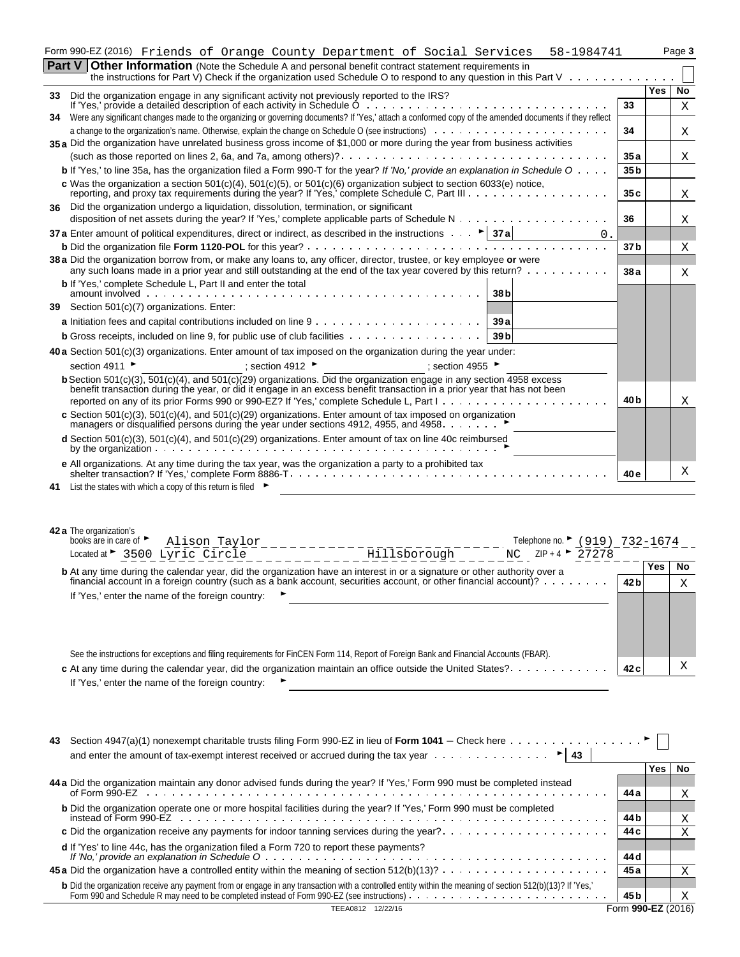|  |  | $\mathbf{Part} \mathbf{V}$ Other Information (Nets the Cahadule A and nersonal benefit contrast statement requirements in |  |                                                                                     |        |
|--|--|---------------------------------------------------------------------------------------------------------------------------|--|-------------------------------------------------------------------------------------|--------|
|  |  |                                                                                                                           |  | Form 990-EZ(2016) Friends of Orange County Department of Social Services 58-1984741 | Page 3 |

|    | Part V I<br><b>Other Information</b> (Note the Schedule A and personal benefit contract statement requirements in<br>the instructions for Part V) Check if the organization used Schedule O to respond to any question in this Part V $\dots$ ,                                                                                                     |                 |     |     |
|----|-----------------------------------------------------------------------------------------------------------------------------------------------------------------------------------------------------------------------------------------------------------------------------------------------------------------------------------------------------|-----------------|-----|-----|
|    | 33 Did the organization engage in any significant activity not previously reported to the IRS?                                                                                                                                                                                                                                                      |                 | Yes | No. |
|    |                                                                                                                                                                                                                                                                                                                                                     | 33              |     | X   |
| 34 | Were any significant changes made to the organizing or governing documents? If 'Yes,' attach a conformed copy of the amended documents if they reflect                                                                                                                                                                                              |                 |     |     |
|    |                                                                                                                                                                                                                                                                                                                                                     | 34              |     | X   |
|    | 35 a Did the organization have unrelated business gross income of \$1,000 or more during the year from business activities                                                                                                                                                                                                                          |                 |     |     |
|    |                                                                                                                                                                                                                                                                                                                                                     | 35a             |     | X   |
|    | <b>b</b> If 'Yes,' to line 35a, has the organization filed a Form 990-T for the year? If 'No,' provide an explanation in Schedule $0 \ldots$ .                                                                                                                                                                                                      | 35 <sub>b</sub> |     |     |
|    | c Was the organization a section $501(c)(4)$ , $501(c)(5)$ , or $501(c)(6)$ organization subject to section 6033(e) notice,                                                                                                                                                                                                                         | 35c             |     | X   |
| 36 | Did the organization undergo a liquidation, dissolution, termination, or significant                                                                                                                                                                                                                                                                |                 |     |     |
|    | disposition of net assets during the year? If 'Yes,' complete applicable parts of Schedule $N_1, \ldots, N_k, \ldots, N_k, \ldots, N_k$                                                                                                                                                                                                             | 36              |     | Χ   |
|    | 37 a Enter amount of political expenditures, direct or indirect, as described in the instructions $\cdots$ > 37 a<br>0.                                                                                                                                                                                                                             |                 |     |     |
|    |                                                                                                                                                                                                                                                                                                                                                     | 37 <sub>b</sub> |     | X   |
|    | 38 a Did the organization borrow from, or make any loans to, any officer, director, trustee, or key employee or were<br>any such loans made in a prior year and still outstanding at the end of the tax year covered by this return?                                                                                                                | 38a             |     | X   |
|    | <b>b</b> If 'Yes,' complete Schedule L, Part II and enter the total<br>amount involved<br>38 bl                                                                                                                                                                                                                                                     |                 |     |     |
|    | 39 Section 501(c)(7) organizations. Enter:                                                                                                                                                                                                                                                                                                          |                 |     |     |
|    | 39a                                                                                                                                                                                                                                                                                                                                                 |                 |     |     |
|    | <b>b</b> Gross receipts, included on line 9, for public use of club facilities<br>39 <sub>b</sub>                                                                                                                                                                                                                                                   |                 |     |     |
|    | <b>40 a</b> Section 501(c)(3) organizations. Enter amount of tax imposed on the organization during the year under:                                                                                                                                                                                                                                 |                 |     |     |
|    | section 4911 ►<br>: section 4912 $\blacktriangleright$<br>; section 4955                                                                                                                                                                                                                                                                            |                 |     |     |
|    | <b>b</b> Section 501(c)(3), 501(c)(4), and 501(c)(29) organizations. Did the organization engage in any section 4958 excess<br>benefit transaction during the year, or did it engage in an excess benefit transaction in a prior year that has not been<br>reported on any of its prior Forms 990 or 990-EZ? If 'Yes,' complete Schedule L, Part I. | 40 <sub>b</sub> |     | X   |
|    | c Section 501(c)(3), 501(c)(4), and 501(c)(29) organizations. Enter amount of tax imposed on organization<br>managers or disqualified persons during the year under sections 4912, 4955, and 4958. $\ldots$ ,                                                                                                                                       |                 |     |     |
|    | d Section 501(c)(3), 501(c)(4), and 501(c)(29) organizations. Enter amount of tax on line 40c reimbursed                                                                                                                                                                                                                                            |                 |     |     |
|    | e All organizations. At any time during the tax year, was the organization a party to a prohibited tax                                                                                                                                                                                                                                              | 40e             |     | X   |
|    | 41 List the states with which a copy of this return is filed                                                                                                                                                                                                                                                                                        |                 |     |     |

| 42 a The organization's<br>books are in care of $\blacktriangleright$                                                            |                                                    | Alison Taylor                                    | Telephone no. ► (919) 732-1674                                                                                                         |      |       |    |
|----------------------------------------------------------------------------------------------------------------------------------|----------------------------------------------------|--------------------------------------------------|----------------------------------------------------------------------------------------------------------------------------------------|------|-------|----|
|                                                                                                                                  | Located at $\blacktriangleright$ 3500 Lyric Circle |                                                  | $ZIP + 4$ 27278<br>Hillsborough NC                                                                                                     |      |       |    |
|                                                                                                                                  |                                                    |                                                  | <b>b</b> At any time during the calendar year, did the organization have an interest in or a signature or other authority over a       |      | Yes   | No |
| financial account in a foreign country (such as a bank account, securities account, or other financial account)? $\cdots \cdots$ |                                                    |                                                  |                                                                                                                                        |      | 42 bl | X  |
| If 'Yes,' enter the name of the foreign country:                                                                                 |                                                    |                                                  |                                                                                                                                        |      |       |    |
|                                                                                                                                  |                                                    |                                                  |                                                                                                                                        |      |       |    |
|                                                                                                                                  |                                                    |                                                  |                                                                                                                                        |      |       |    |
|                                                                                                                                  |                                                    |                                                  |                                                                                                                                        |      |       |    |
|                                                                                                                                  |                                                    |                                                  | See the instructions for exceptions and filing requirements for FinCEN Form 114, Report of Foreign Bank and Financial Accounts (FBAR). |      |       | Х  |
|                                                                                                                                  |                                                    |                                                  |                                                                                                                                        | 42 c |       |    |
|                                                                                                                                  |                                                    | If 'Yes,' enter the name of the foreign country: |                                                                                                                                        |      |       |    |

| 43<br>and enter the amount of tax-exempt interest received or accrued during the tax year $\dots \dots \dots \dots$ |                                                                                                                                                                                                                                        |                    |     |     |
|---------------------------------------------------------------------------------------------------------------------|----------------------------------------------------------------------------------------------------------------------------------------------------------------------------------------------------------------------------------------|--------------------|-----|-----|
|                                                                                                                     |                                                                                                                                                                                                                                        |                    | Yes | No. |
|                                                                                                                     | 44 a Did the organization maintain any donor advised funds during the year? If 'Yes,' Form 990 must be completed instead                                                                                                               | 44 a               |     | X   |
|                                                                                                                     | <b>b</b> Did the organization operate one or more hospital facilities during the year? If 'Yes,' Form 990 must be completed                                                                                                            | 44 b               |     | Χ   |
|                                                                                                                     |                                                                                                                                                                                                                                        | 44 c               |     | Χ   |
|                                                                                                                     | d If 'Yes' to line 44c, has the organization filed a Form 720 to report these payments?                                                                                                                                                | 44 d               |     |     |
|                                                                                                                     |                                                                                                                                                                                                                                        | 45 a               |     | X   |
|                                                                                                                     | <b>b</b> Did the organization receive any payment from or engage in any transaction with a controlled entity within the meaning of section 512(b)(13)? If 'Yes,'<br>Form 990 and Schedule R may need to be completed instead of Form 9 | 45 b               |     | X   |
|                                                                                                                     | TEEA0812 12/22/16                                                                                                                                                                                                                      | Form 990-EZ (2016) |     |     |